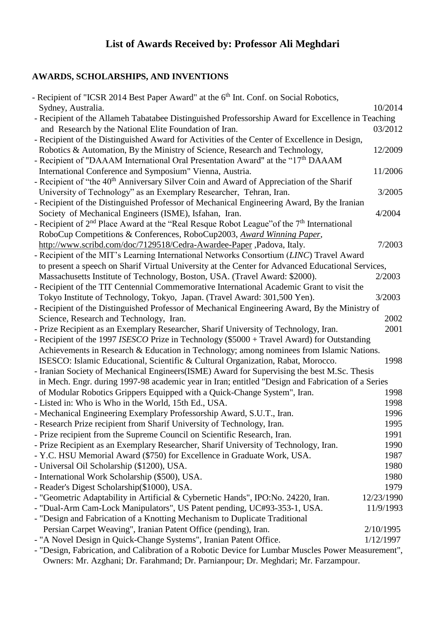## **List of Awards Received by: Professor Ali Meghdari**

## **AWARDS, SCHOLARSHIPS, AND INVENTIONS**

| - Recipient of "ICSR 2014 Best Paper Award" at the 6 <sup>th</sup> Int. Conf. on Social Robotics,    |            |  |
|------------------------------------------------------------------------------------------------------|------------|--|
| Sydney, Australia.                                                                                   | 10/2014    |  |
| - Recipient of the Allameh Tabatabee Distinguished Professorship Award for Excellence in Teaching    |            |  |
| and Research by the National Elite Foundation of Iran.                                               | 03/2012    |  |
| - Recipient of the Distinguished Award for Activities of the Center of Excellence in Design,         |            |  |
| Robotics & Automation, By the Ministry of Science, Research and Technology,                          | 12/2009    |  |
| - Recipient of "DAAAM International Oral Presentation Award" at the "17 <sup>th</sup> DAAAM          |            |  |
| International Conference and Symposium" Vienna, Austria.                                             | 11/2006    |  |
| - Recipient of "the 40 <sup>th</sup> Anniversary Silver Coin and Award of Appreciation of the Sharif |            |  |
| University of Technology" as an Exemplary Researcher, Tehran, Iran.                                  | 3/2005     |  |
| - Recipient of the Distinguished Professor of Mechanical Engineering Award, By the Iranian           |            |  |
| Society of Mechanical Engineers (ISME), Isfahan, Iran.                                               | 4/2004     |  |
| - Recipient of $2nd$ Place Award at the "Real Resque Robot League" of the $7th$ International        |            |  |
| RoboCup Competitions & Conferences, RoboCup2003, Award Winning Paper,                                |            |  |
| http://www.scribd.com/doc/7129518/Cedra-Awardee-Paper, Padova, Italy.                                | 7/2003     |  |
| - Recipient of the MIT's Learning International Networks Consortium (LINC) Travel Award              |            |  |
| to present a speech on Sharif Virtual University at the Center for Advanced Educational Services,    |            |  |
| Massachusetts Institute of Technology, Boston, USA. (Travel Award: \$2000).                          | 2/2003     |  |
| - Recipient of the TIT Centennial Commemorative International Academic Grant to visit the            |            |  |
| Tokyo Institute of Technology, Tokyo, Japan. (Travel Award: 301,500 Yen).                            | 3/2003     |  |
| - Recipient of the Distinguished Professor of Mechanical Engineering Award, By the Ministry of       |            |  |
| Science, Research and Technology, Iran.                                                              | 2002       |  |
| - Prize Recipient as an Exemplary Researcher, Sharif University of Technology, Iran.                 | 2001       |  |
| - Recipient of the 1997 ISESCO Prize in Technology (\$5000 + Travel Award) for Outstanding           |            |  |
| Achievements in Research & Education in Technology; among nominees from Islamic Nations.             |            |  |
| ISESCO: Islamic Educational, Scientific & Cultural Organization, Rabat, Morocco.                     | 1998       |  |
| - Iranian Society of Mechanical Engineers (ISME) Award for Supervising the best M.Sc. Thesis         |            |  |
| in Mech. Engr. during 1997-98 academic year in Iran; entitled "Design and Fabrication of a Series    |            |  |
| of Modular Robotics Grippers Equipped with a Quick-Change System", Iran.                             | 1998       |  |
| - Listed in: Who is Who in the World, 15th Ed., USA.                                                 | 1998       |  |
| - Mechanical Engineering Exemplary Professorship Award, S.U.T., Iran.                                | 1996       |  |
| - Research Prize recipient from Sharif University of Technology, Iran.                               | 1995       |  |
| - Prize recipient from the Supreme Council on Scientific Research, Iran.                             | 1991       |  |
| - Prize Recipient as an Exemplary Researcher, Sharif University of Technology, Iran.                 | 1990       |  |
| - Y.C. HSU Memorial Award (\$750) for Excellence in Graduate Work, USA.                              | 1987       |  |
| - Universal Oil Scholarship (\$1200), USA.                                                           | 1980       |  |
| - International Work Scholarship (\$500), USA.                                                       | 1980       |  |
| - Reader's Digest Scholarship(\$1000), USA.                                                          | 1979       |  |
| - "Geometric Adaptability in Artificial & Cybernetic Hands", IPO:No. 24220, Iran.                    | 12/23/1990 |  |
| - "Dual-Arm Cam-Lock Manipulators", US Patent pending, UC#93-353-1, USA.                             | 11/9/1993  |  |
| - "Design and Fabrication of a Knotting Mechanism to Duplicate Traditional                           |            |  |
| Persian Carpet Weaving", Iranian Patent Office (pending), Iran.                                      | 2/10/1995  |  |
| - "A Novel Design in Quick-Change Systems", Iranian Patent Office.                                   | 1/12/1997  |  |
| - "Design, Fabrication, and Calibration of a Robotic Device for Lumbar Muscles Power Measurement",   |            |  |
| Owners: Mr. Azghani; Dr. Farahmand; Dr. Parnianpour; Dr. Meghdari; Mr. Farzampour.                   |            |  |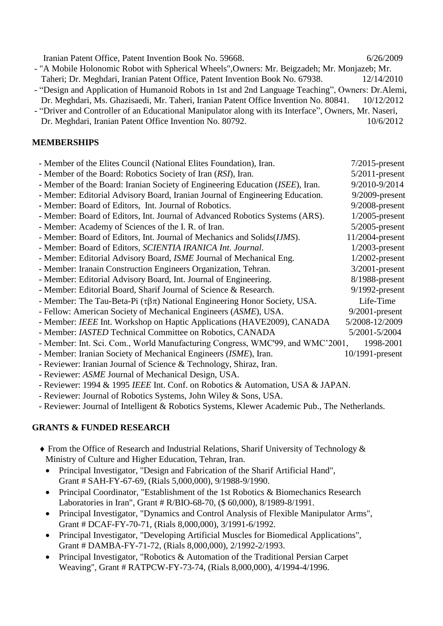Iranian Patent Office, Patent Invention Book No. 59668. 6/26/2009 - "A Mobile Holonomic Robot with Spherical Wheels",Owners: Mr. Beigzadeh; Mr. Monjazeb; Mr. Taheri; Dr. Meghdari, Iranian Patent Office, Patent Invention Book No. 67938. 12/14/2010 - ["Design and Application of Humanoid Robots in 1st and 2nd Language Teaching"](https://www.researchgate.net/publication/258333005_Design_and_Application_of_Humanoid_Robots_in_1st_and_2nd_Language_Teaching), Owners: [Dr.Alemi,](https://www.researchgate.net/researcher/2030134510_Minoo_Alemi/) Dr. Meghdari, [Ms. Ghazisaedi,](https://www.researchgate.net/researcher/2035615400_Maryam_Ghazisaedi/) [Mr. Taheri,](https://www.researchgate.net/researcher/2030140129_Alireza_R_Taheri/) Iranian Patent Office Invention No. 80841. 10/12/2012 - ["Driver and Controller of an Educational Manipulator along with its Interface"](https://www.researchgate.net/publication/258338192_Driver_and_Controller_of_an_Educational_Manipulator_along_with_its_Interface), Owners, Mr. Naseri,

Dr. Meghdari, Iranian Patent Office Invention No. 80792. 10/6/2012

## **MEMBERSHIPS**

| - Member of the Elites Council (National Elites Foundation), Iran.                    | $7/2015$ -present  |
|---------------------------------------------------------------------------------------|--------------------|
| - Member of the Board: Robotics Society of Iran (RSI), Iran.                          | $5/2011$ -present  |
| - Member of the Board: Iranian Society of Engineering Education (ISEE), Iran.         | 9/2010-9/2014      |
| - Member: Editorial Advisory Board, Iranian Journal of Engineering Education.         | $9/2009$ -present  |
| - Member: Board of Editors, Int. Journal of Robotics.                                 | $9/2008$ -present  |
| - Member: Board of Editors, Int. Journal of Advanced Robotics Systems (ARS).          | $1/2005$ -present  |
| - Member: Academy of Sciences of the I. R. of Iran.                                   | $5/2005$ -present  |
| - Member: Board of Editors, Int. Journal of Mechanics and Solids( <i>IJMS</i> ).      | 11/2004-present    |
| - Member: Board of Editors, SCIENTIA IRANICA Int. Journal.                            | $1/2003$ -present  |
| - Member: Editorial Advisory Board, ISME Journal of Mechanical Eng.                   | $1/2002$ -present  |
| - Member: Iranain Construction Engineers Organization, Tehran.                        | $3/2001$ -present  |
| - Member: Editorial Advisory Board, Int. Journal of Engineering.                      | $8/1988$ -present  |
| - Member: Editorial Board, Sharif Journal of Science & Research.                      | $9/1992$ -present  |
| - Member: The Tau-Beta-Pi $(\tau \beta \pi)$ National Engineering Honor Society, USA. | Life-Time          |
| - Fellow: American Society of Mechanical Engineers (ASME), USA.                       | $9/2001$ -present  |
| - Member: IEEE Int. Workshop on Haptic Applications (HAVE2009), CANADA                | 5/2008-12/2009     |
| - Member: IASTED Technical Committee on Robotics, CANADA                              | 5/2001-5/2004      |
| - Member: Int. Sci. Com., World Manufacturing Congress, WMC'99, and WMC'2001,         | 1998-2001          |
| - Member: Iranian Society of Mechanical Engineers (ISME), Iran.                       | $10/1991$ -present |
| Deviewer Luggian Lerry of Coleman & Tachnology, Chinan Lugg                           |                    |

- Reviewer: Iranian Journal of Science & Technology, Shiraz, Iran.
- Reviewer: *ASME* Journal of Mechanical Design, USA.
- Reviewer: 1994 & 1995 *IEEE* Int. Conf. on Robotics & Automation, USA & JAPAN.
- Reviewer: Journal of Robotics Systems, John Wiley & Sons, USA.
- Reviewer: Journal of Intelligent & Robotics Systems, Klewer Academic Pub., The Netherlands.

## **GRANTS & FUNDED RESEARCH**

- From the Office of Research and Industrial Relations, Sharif University of Technology & Ministry of Culture and Higher Education, Tehran, Iran.
	- Principal Investigator, "Design and Fabrication of the Sharif Artificial Hand", Grant # SAH-FY-67-69, (Rials 5,000,000), 9/1988-9/1990.
	- Principal Coordinator, "Establishment of the 1st Robotics & Biomechanics Research Laboratories in Iran", Grant # R/BIO-68-70, (\$ 60,000), 8/1989-8/1991.
	- Principal Investigator, "Dynamics and Control Analysis of Flexible Manipulator Arms", Grant # DCAF-FY-70-71, (Rials 8,000,000), 3/1991-6/1992.
	- Principal Investigator, "Developing Artificial Muscles for Biomedical Applications", Grant # DAMBA-FY-71-72, (Rials 8,000,000), 2/1992-2/1993.
	- Principal Investigator, "Robotics & Automation of the Traditional Persian Carpet Weaving", Grant # RATPCW-FY-73-74, (Rials 8,000,000), 4/1994-4/1996.